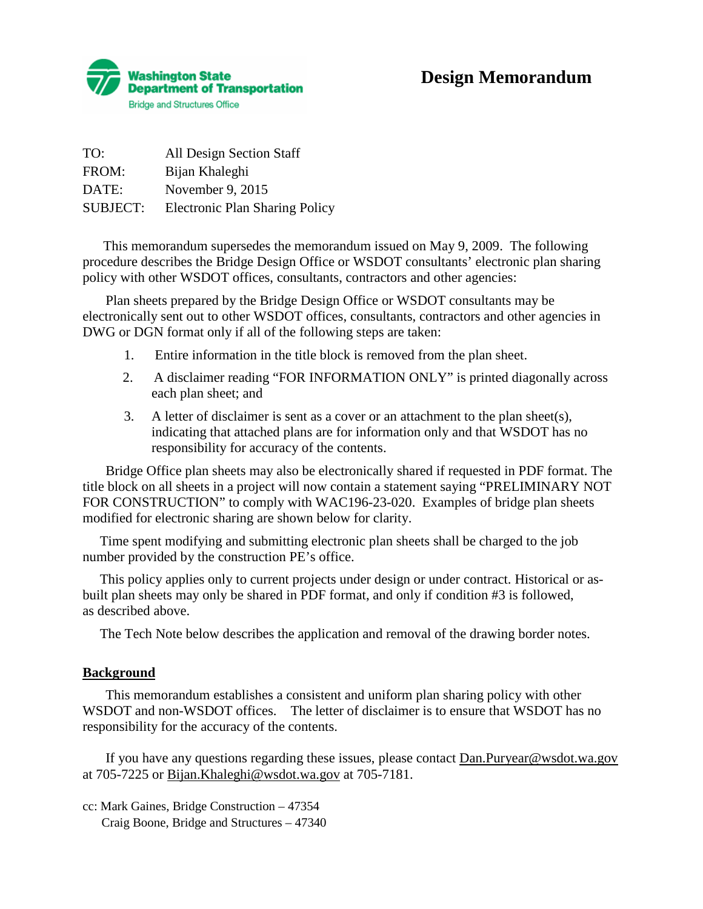

| TO:             | <b>All Design Section Staff</b>       |
|-----------------|---------------------------------------|
| FROM:           | Bijan Khaleghi                        |
| DATE:           | November 9, 2015                      |
| <b>SUBJECT:</b> | <b>Electronic Plan Sharing Policy</b> |

 This memorandum supersedes the memorandum issued on May 9, 2009. The following procedure describes the Bridge Design Office or WSDOT consultants' electronic plan sharing policy with other WSDOT offices, consultants, contractors and other agencies:

Plan sheets prepared by the Bridge Design Office or WSDOT consultants may be electronically sent out to other WSDOT offices, consultants, contractors and other agencies in DWG or DGN format only if all of the following steps are taken:

- 1. Entire information in the title block is removed from the plan sheet.
- 2. A disclaimer reading "FOR INFORMATION ONLY" is printed diagonally across each plan sheet; and
- 3. A letter of disclaimer is sent as a cover or an attachment to the plan sheet(s), indicating that attached plans are for information only and that WSDOT has no responsibility for accuracy of the contents.

Bridge Office plan sheets may also be electronically shared if requested in PDF format. The title block on all sheets in a project will now contain a statement saying "PRELIMINARY NOT FOR CONSTRUCTION" to comply with WAC196-23-020. Examples of bridge plan sheets modified for electronic sharing are shown below for clarity.

Time spent modifying and submitting electronic plan sheets shall be charged to the job number provided by the construction PE's office.

This policy applies only to current projects under design or under contract. Historical or asbuilt plan sheets may only be shared in PDF format, and only if condition #3 is followed, as described above.

The Tech Note below describes the application and removal of the drawing border notes.

## **Background**

This memorandum establishes a consistent and uniform plan sharing policy with other WSDOT and non-WSDOT offices. The letter of disclaimer is to ensure that WSDOT has no responsibility for the accuracy of the contents.

If you have any questions regarding these issues, please contact [Dan.Puryear@wsdot.wa.gov](mailto:Dan.Puryear@wsdot.wa.gov)  at 705-7225 or [Bijan.Khaleghi@wsdot.wa.gov](mailto:Bijan.Khaleghi@wsdot.wa.gov) at 705-7181.

cc: Mark Gaines, Bridge Construction – 47354 Craig Boone, Bridge and Structures – 47340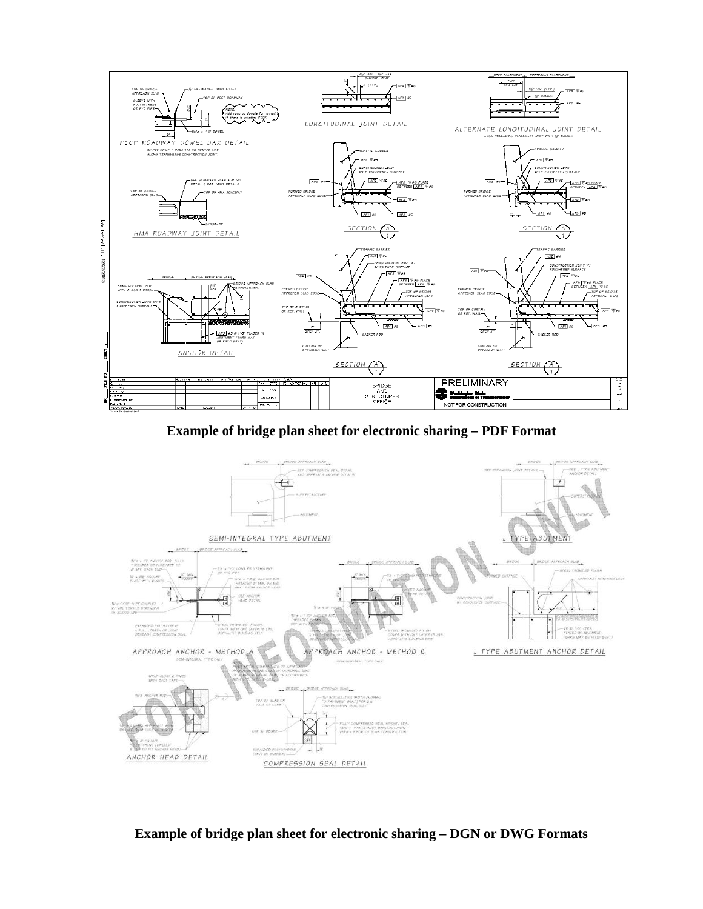

**Example of bridge plan sheet for electronic sharing – PDF Format**



**Example of bridge plan sheet for electronic sharing – DGN or DWG Formats**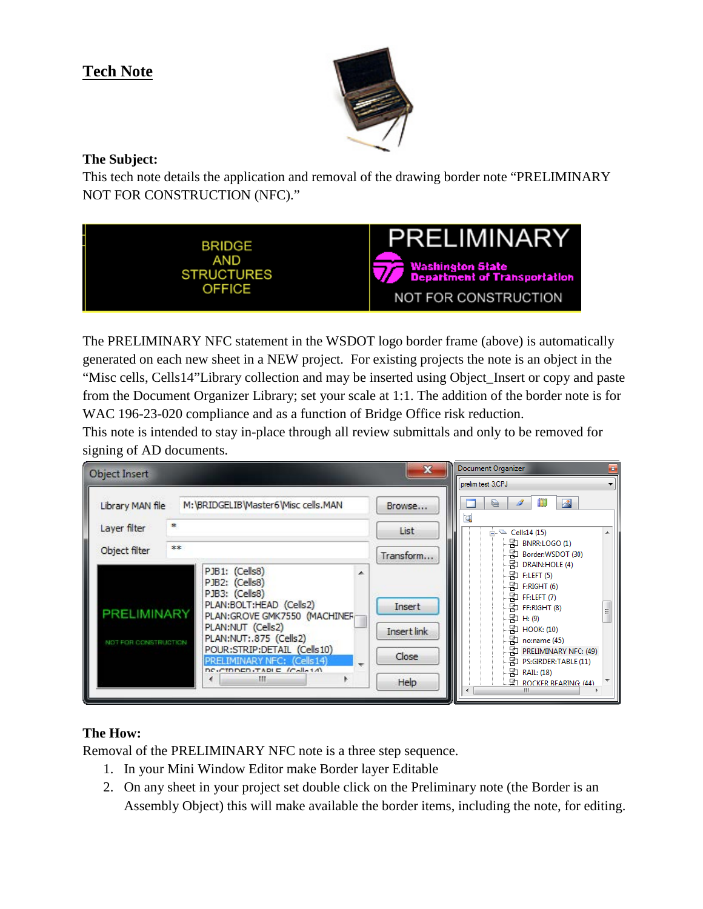## **Tech Note**



## **The Subject:**

This tech note details the application and removal of the drawing border note "PRELIMINARY NOT FOR CONSTRUCTION (NFC)."



The PRELIMINARY NFC statement in the WSDOT logo border frame (above) is automatically generated on each new sheet in a NEW project. For existing projects the note is an object in the "Misc cells, Cells14"Library collection and may be inserted using Object\_Insert or copy and paste from the Document Organizer Library; set your scale at 1:1. The addition of the border note is for WAC 196-23-020 compliance and as a function of Bridge Office risk reduction.

This note is intended to stay in-place through all review submittals and only to be removed for signing of AD documents.



## **The How:**

Removal of the PRELIMINARY NFC note is a three step sequence.

- 1. In your Mini Window Editor make Border layer Editable
- 2. On any sheet in your project set double click on the Preliminary note (the Border is an Assembly Object) this will make available the border items, including the note, for editing.